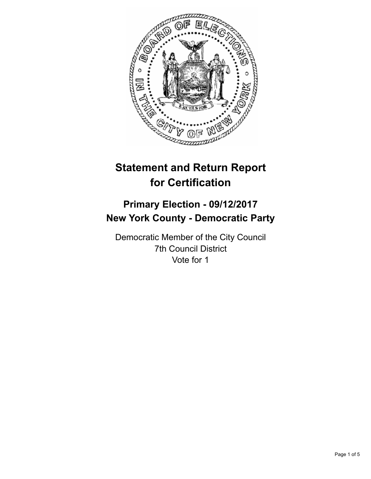

# **Statement and Return Report for Certification**

# **Primary Election - 09/12/2017 New York County - Democratic Party**

Democratic Member of the City Council 7th Council District Vote for 1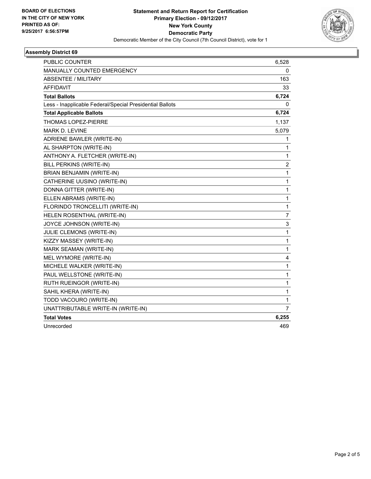

# **Assembly District 69**

| <b>PUBLIC COUNTER</b>                                    | 6,528          |
|----------------------------------------------------------|----------------|
| MANUALLY COUNTED EMERGENCY                               | 0              |
| <b>ABSENTEE / MILITARY</b>                               | 163            |
| <b>AFFIDAVIT</b>                                         | 33             |
| <b>Total Ballots</b>                                     | 6,724          |
| Less - Inapplicable Federal/Special Presidential Ballots | 0              |
| <b>Total Applicable Ballots</b>                          | 6,724          |
| <b>THOMAS LOPEZ-PIERRE</b>                               | 1,137          |
| <b>MARK D. LEVINE</b>                                    | 5,079          |
| ADRIENE BAWLER (WRITE-IN)                                | 1              |
| AL SHARPTON (WRITE-IN)                                   | 1              |
| ANTHONY A. FLETCHER (WRITE-IN)                           | 1              |
| BILL PERKINS (WRITE-IN)                                  | 2              |
| BRIAN BENJAMIN (WRITE-IN)                                | 1              |
| CATHERINE UUSINO (WRITE-IN)                              | 1              |
| DONNA GITTER (WRITE-IN)                                  | 1              |
| ELLEN ABRAMS (WRITE-IN)                                  | 1              |
| FLORINDO TRONCELLITI (WRITE-IN)                          | $\mathbf{1}$   |
| HELEN ROSENTHAL (WRITE-IN)                               | $\overline{7}$ |
| JOYCE JOHNSON (WRITE-IN)                                 | 3              |
| JULIE CLEMONS (WRITE-IN)                                 | 1              |
| KIZZY MASSEY (WRITE-IN)                                  | 1              |
| MARK SEAMAN (WRITE-IN)                                   | 1              |
| MEL WYMORE (WRITE-IN)                                    | 4              |
| MICHELE WALKER (WRITE-IN)                                | 1              |
| PAUL WELLSTONE (WRITE-IN)                                | 1              |
| RUTH RUEINGOR (WRITE-IN)                                 | 1              |
| SAHIL KHERA (WRITE-IN)                                   | 1              |
| TODD VACOURO (WRITE-IN)                                  | 1              |
| UNATTRIBUTABLE WRITE-IN (WRITE-IN)                       | 7              |
| <b>Total Votes</b>                                       | 6,255          |
| Unrecorded                                               | 469            |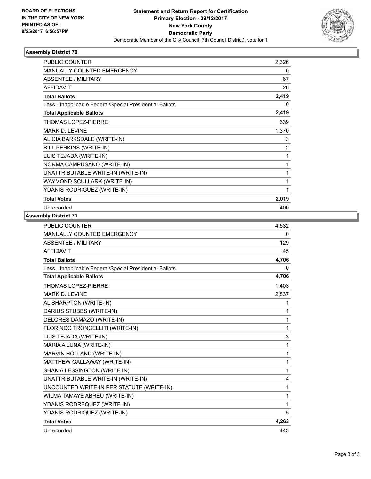

# **Assembly District 70**

| PUBLIC COUNTER                                           | 2,326          |
|----------------------------------------------------------|----------------|
| <b>MANUALLY COUNTED EMERGENCY</b>                        | 0              |
| <b>ABSENTEE / MILITARY</b>                               | 67             |
| <b>AFFIDAVIT</b>                                         | 26             |
| <b>Total Ballots</b>                                     | 2,419          |
| Less - Inapplicable Federal/Special Presidential Ballots | $\Omega$       |
| <b>Total Applicable Ballots</b>                          | 2,419          |
| <b>THOMAS LOPEZ-PIERRE</b>                               | 639            |
| <b>MARK D. LEVINE</b>                                    | 1,370          |
| ALICIA BARKSDALE (WRITE-IN)                              | 3              |
| BILL PERKINS (WRITE-IN)                                  | $\overline{2}$ |
| LUIS TEJADA (WRITE-IN)                                   | 1              |
| NORMA CAMPUSANO (WRITE-IN)                               | 1              |
| UNATTRIBUTABLE WRITE-IN (WRITE-IN)                       | 1              |
| WAYMOND SCULLARK (WRITE-IN)                              | 1              |
| YDANIS RODRIGUEZ (WRITE-IN)                              | 1              |
| <b>Total Votes</b>                                       | 2,019          |
| Unrecorded                                               | 400            |

### **Assembly District 71**

| PUBLIC COUNTER                                           | 4,532 |
|----------------------------------------------------------|-------|
| <b>MANUALLY COUNTED EMERGENCY</b>                        | 0     |
| <b>ABSENTEE / MILITARY</b>                               | 129   |
| <b>AFFIDAVIT</b>                                         | 45    |
| <b>Total Ballots</b>                                     | 4,706 |
| Less - Inapplicable Federal/Special Presidential Ballots | 0     |
| <b>Total Applicable Ballots</b>                          | 4,706 |
| <b>THOMAS LOPEZ-PIERRE</b>                               | 1,403 |
| <b>MARK D. LEVINE</b>                                    | 2,837 |
| AL SHARPTON (WRITE-IN)                                   | 1     |
| DARIUS STUBBS (WRITE-IN)                                 | 1     |
| DELORES DAMAZO (WRITE-IN)                                | 1     |
| FLORINDO TRONCELLITI (WRITE-IN)                          | 1     |
| LUIS TEJADA (WRITE-IN)                                   | 3     |
| MARIA A LUNA (WRITE-IN)                                  | 1     |
| MARVIN HOLLAND (WRITE-IN)                                | 1     |
| MATTHEW GALLAWAY (WRITE-IN)                              | 1     |
| SHAKIA LESSINGTON (WRITE-IN)                             | 1     |
| UNATTRIBUTABLE WRITE-IN (WRITE-IN)                       | 4     |
| UNCOUNTED WRITE-IN PER STATUTE (WRITE-IN)                | 1     |
| WILMA TAMAYE ABREU (WRITE-IN)                            | 1     |
| YDANIS RODREQUEZ (WRITE-IN)                              | 1     |
| YDANIS RODRIQUEZ (WRITE-IN)                              | 5     |
| <b>Total Votes</b>                                       | 4,263 |
| Unrecorded                                               | 443   |
|                                                          |       |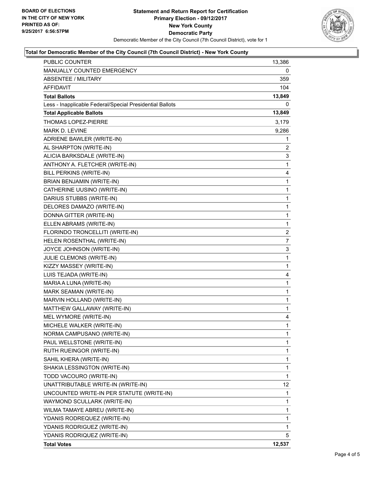

#### **Total for Democratic Member of the City Council (7th Council District) - New York County**

| PUBLIC COUNTER                                           | 13,386 |
|----------------------------------------------------------|--------|
| MANUALLY COUNTED EMERGENCY                               | 0      |
| <b>ABSENTEE / MILITARY</b>                               | 359    |
| AFFIDAVIT                                                | 104    |
| <b>Total Ballots</b>                                     | 13,849 |
| Less - Inapplicable Federal/Special Presidential Ballots | 0      |
| <b>Total Applicable Ballots</b>                          | 13,849 |
| THOMAS LOPEZ-PIERRE                                      | 3,179  |
| <b>MARK D. LEVINE</b>                                    | 9,286  |
| ADRIENE BAWLER (WRITE-IN)                                | 1      |
| AL SHARPTON (WRITE-IN)                                   | 2      |
| ALICIA BARKSDALE (WRITE-IN)                              | 3      |
| ANTHONY A. FLETCHER (WRITE-IN)                           | 1      |
| BILL PERKINS (WRITE-IN)                                  | 4      |
| BRIAN BENJAMIN (WRITE-IN)                                | 1      |
| CATHERINE UUSINO (WRITE-IN)                              | 1      |
| DARIUS STUBBS (WRITE-IN)                                 | 1      |
| DELORES DAMAZO (WRITE-IN)                                | 1      |
| DONNA GITTER (WRITE-IN)                                  | 1      |
| ELLEN ABRAMS (WRITE-IN)                                  | 1      |
| FLORINDO TRONCELLITI (WRITE-IN)                          | 2      |
| HELEN ROSENTHAL (WRITE-IN)                               | 7      |
| JOYCE JOHNSON (WRITE-IN)                                 | 3      |
| JULIE CLEMONS (WRITE-IN)                                 | 1      |
| KIZZY MASSEY (WRITE-IN)                                  | 1      |
| LUIS TEJADA (WRITE-IN)                                   | 4      |
| MARIA A LUNA (WRITE-IN)                                  | 1      |
| MARK SEAMAN (WRITE-IN)                                   | 1      |
| MARVIN HOLLAND (WRITE-IN)                                | 1      |
| MATTHEW GALLAWAY (WRITE-IN)                              | 1      |
| MEL WYMORE (WRITE-IN)                                    | 4      |
| MICHELE WALKER (WRITE-IN)                                | 1      |
| NORMA CAMPUSANO (WRITE-IN)                               | 1      |
| PAUL WELLSTONE (WRITE-IN)                                | 1      |
| RUTH RUEINGOR (WRITE-IN)                                 | 1      |
| SAHIL KHERA (WRITE-IN)                                   | 1      |
| SHAKIA LESSINGTON (WRITE-IN)                             | 1      |
| TODD VACOURO (WRITE-IN)                                  | 1      |
| UNATTRIBUTABLE WRITE-IN (WRITE-IN)                       | 12     |
| UNCOUNTED WRITE-IN PER STATUTE (WRITE-IN)                | 1      |
| WAYMOND SCULLARK (WRITE-IN)                              | 1      |
| WILMA TAMAYE ABREU (WRITE-IN)                            | 1      |
| YDANIS RODREQUEZ (WRITE-IN)                              | 1      |
| YDANIS RODRIGUEZ (WRITE-IN)                              | 1      |
| YDANIS RODRIQUEZ (WRITE-IN)                              | 5      |
| <b>Total Votes</b>                                       | 12,537 |